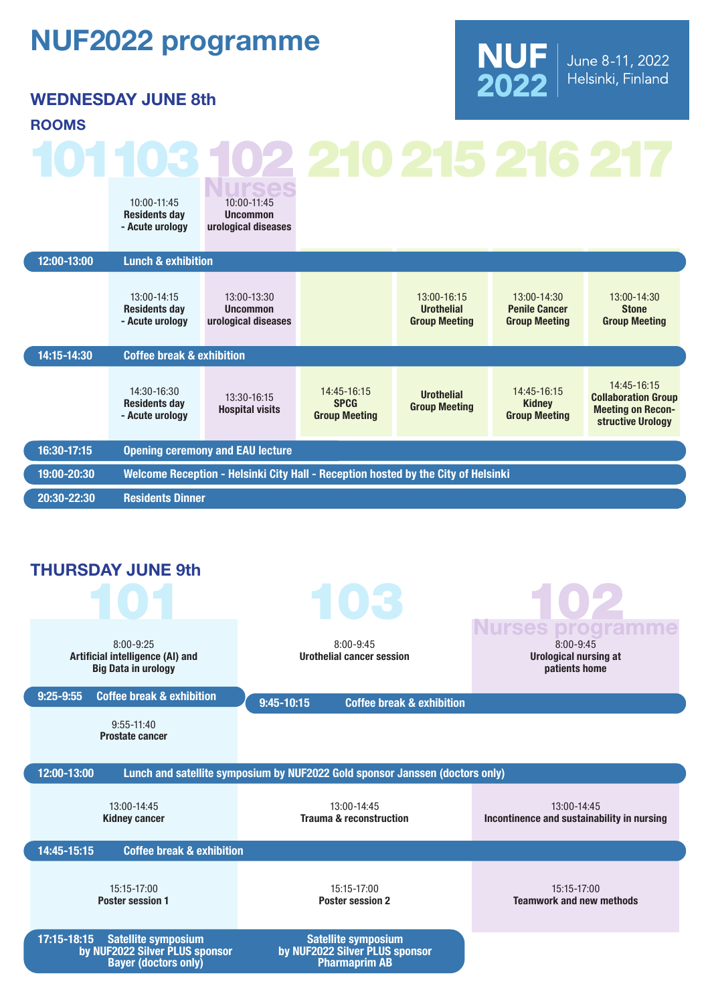## NUF2022 programme

WEDNESDAY JUNE 8th



## 12:00-13:00 Lunch & exhibition ROOMS 10:00-11:45 Residents day - Acute urology 10:00-11:45 Uncommon urological diseases

| 14:15-14:30 | 13:00-14:15<br><b>Residents day</b><br>- Acute urology<br><b>Coffee break &amp; exhibition</b>                                  | 13:00-13:30<br><b>Uncommon</b><br>urological diseases |                            | 13:00-16:15<br><b>Urothelial</b><br><b>Group Meeting</b> | $13:00 - 14:30$<br><b>Penile Cancer</b><br><b>Group Meeting</b> | 13:00-14:30<br><b>Stone</b><br><b>Group Meeting</b>                   |
|-------------|---------------------------------------------------------------------------------------------------------------------------------|-------------------------------------------------------|----------------------------|----------------------------------------------------------|-----------------------------------------------------------------|-----------------------------------------------------------------------|
|             | 14:30-16:30<br><b>Residents day</b>                                                                                             | 13:30-16:15<br><b>Hospital visits</b>                 | 14:45-16:15<br><b>SPCG</b> | <b>Urothelial</b><br><b>Group Meeting</b>                | 14:45-16:15<br><b>Kidney</b>                                    | 14:45-16:15<br><b>Collaboration Group</b><br><b>Meeting on Recon-</b> |
| 16:30-17:15 | - Acute urology<br><b>Group Meeting</b><br><b>Group Meeting</b><br>structive Urology<br><b>Opening ceremony and EAU lecture</b> |                                                       |                            |                                                          |                                                                 |                                                                       |
| 19:00-20:30 | Welcome Reception - Helsinki City Hall - Reception hosted by the City of Helsinki                                               |                                                       |                            |                                                          |                                                                 |                                                                       |
| 20:30-22:30 | <b>Residents Dinner</b>                                                                                                         |                                                       |                            |                                                          |                                                                 |                                                                       |